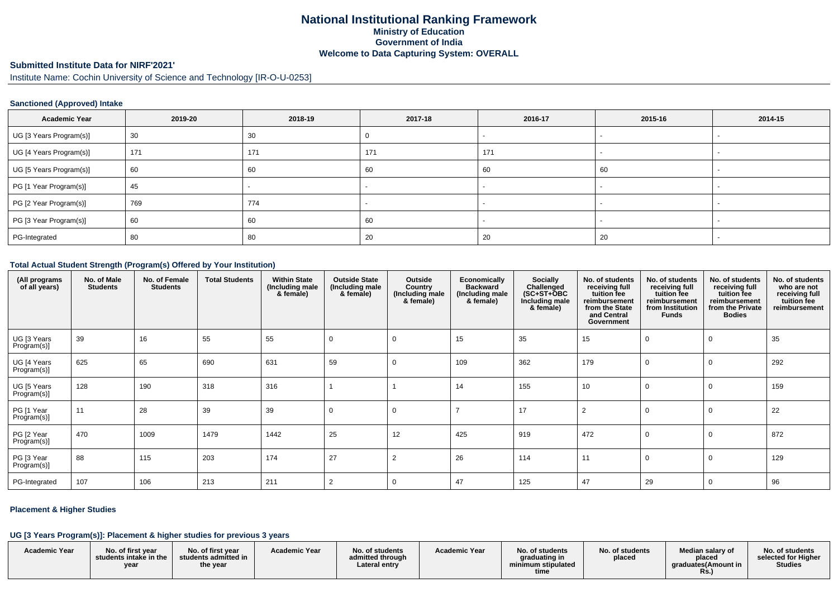## **National Institutional Ranking FrameworkMinistry of Education Government of IndiaWelcome to Data Capturing System: OVERALL**

# **Submitted Institute Data for NIRF'2021'**

Institute Name: Cochin University of Science and Technology [IR-O-U-0253]

### **Sanctioned (Approved) Intake**

| <b>Academic Year</b>    | 2019-20 | 2018-19 | 2017-18 | 2016-17 | 2015-16 | 2014-15 |
|-------------------------|---------|---------|---------|---------|---------|---------|
| UG [3 Years Program(s)] | 30      | 30      |         |         |         |         |
| UG [4 Years Program(s)] | 171     | 171     | 171     | 171     |         |         |
| UG [5 Years Program(s)] | 60      | 60      | 60      | 60      | 60      |         |
| PG [1 Year Program(s)]  | 45      |         |         |         |         |         |
| PG [2 Year Program(s)]  | 769     | 774     |         |         |         |         |
| PG [3 Year Program(s)]  | 60      | 60      | 60      |         |         |         |
| PG-Integrated           | 80      | 80      | 20      | 20      | 20      |         |

#### **Total Actual Student Strength (Program(s) Offered by Your Institution)**

| (All programs<br>of all years) | No. of Male<br><b>Students</b> | No. of Female<br><b>Students</b> | <b>Total Students</b> | <b>Within State</b><br>(Including male<br>& female) | <b>Outside State</b><br>(Including male<br>& female) | Outside<br>Country<br>(Including male<br>& female) | Economically<br><b>Backward</b><br>(Including male<br>& female) | <b>Socially</b><br>Challenged<br>$(SC+ST+OBC)$<br>Including male<br>& female) | No. of students<br>receiving full<br>tuition fee<br>reimbursement<br>from the State<br>and Central<br>Government | No. of students<br>receiving full<br>tuition fee<br>reimbursement<br>from Institution<br><b>Funds</b> | No. of students<br>receiving full<br>tuition fee<br>reimbursement<br>from the Private<br><b>Bodies</b> | No. of students<br>who are not<br>receiving full<br>tuition fee<br>reimbursement |
|--------------------------------|--------------------------------|----------------------------------|-----------------------|-----------------------------------------------------|------------------------------------------------------|----------------------------------------------------|-----------------------------------------------------------------|-------------------------------------------------------------------------------|------------------------------------------------------------------------------------------------------------------|-------------------------------------------------------------------------------------------------------|--------------------------------------------------------------------------------------------------------|----------------------------------------------------------------------------------|
| UG [3 Years<br>Program(s)]     | 39                             | 16                               | 55                    | 55                                                  | O                                                    | 0                                                  | 15                                                              | 35                                                                            | 15                                                                                                               |                                                                                                       |                                                                                                        | 35                                                                               |
| UG [4 Years<br>Program(s)]     | 625                            | 65                               | 690                   | 631                                                 | 59                                                   | 0                                                  | 109                                                             | 362                                                                           | 179                                                                                                              |                                                                                                       |                                                                                                        | 292                                                                              |
| UG [5 Years<br>Program(s)]     | 128                            | 190                              | 318                   | 316                                                 |                                                      |                                                    | 14                                                              | 155                                                                           | 10                                                                                                               |                                                                                                       |                                                                                                        | 159                                                                              |
| PG [1 Year<br>Program(s)]      | 11                             | 28                               | 39                    | 39                                                  | $\Omega$                                             | 0                                                  |                                                                 | 17                                                                            | $\overline{2}$                                                                                                   |                                                                                                       |                                                                                                        | 22                                                                               |
| PG [2 Year<br>Program(s)]      | 470                            | 1009                             | 1479                  | 1442                                                | 25                                                   | 12                                                 | 425                                                             | 919                                                                           | 472                                                                                                              |                                                                                                       |                                                                                                        | 872                                                                              |
| PG [3 Year<br>Program(s)]      | 88                             | 115                              | 203                   | 174                                                 | 27                                                   | $\overline{2}$                                     | 26                                                              | 114                                                                           | 11                                                                                                               |                                                                                                       |                                                                                                        | 129                                                                              |
| PG-Integrated                  | 107                            | 106                              | 213                   | 211                                                 | $\overline{2}$                                       | 0                                                  | 47                                                              | 125                                                                           | 47                                                                                                               | 29                                                                                                    | 0                                                                                                      | 96                                                                               |

### **Placement & Higher Studies**

#### **UG [3 Years Program(s)]: Placement & higher studies for previous 3 years**

|                      | .                                                  |                                                                      |                      |                                                      |                      |                                                                |                           |                                                                   |                                                          |
|----------------------|----------------------------------------------------|----------------------------------------------------------------------|----------------------|------------------------------------------------------|----------------------|----------------------------------------------------------------|---------------------------|-------------------------------------------------------------------|----------------------------------------------------------|
| <b>Academic Year</b> | No. of first vear<br>students intake in the<br>yea | No. of first year<br>students admitted in $\blacksquare$<br>the year | <b>Academic Year</b> | No. of students<br>admitted through<br>∟ateral entry | <b>Academic Year</b> | No. of students<br>graduating in<br>minimum stipulated<br>time | No. of students<br>placed | Median salary of<br>placed<br>araduates (Amount in<br><b>Rs.)</b> | No. of students<br>selected for Higher<br><b>Studies</b> |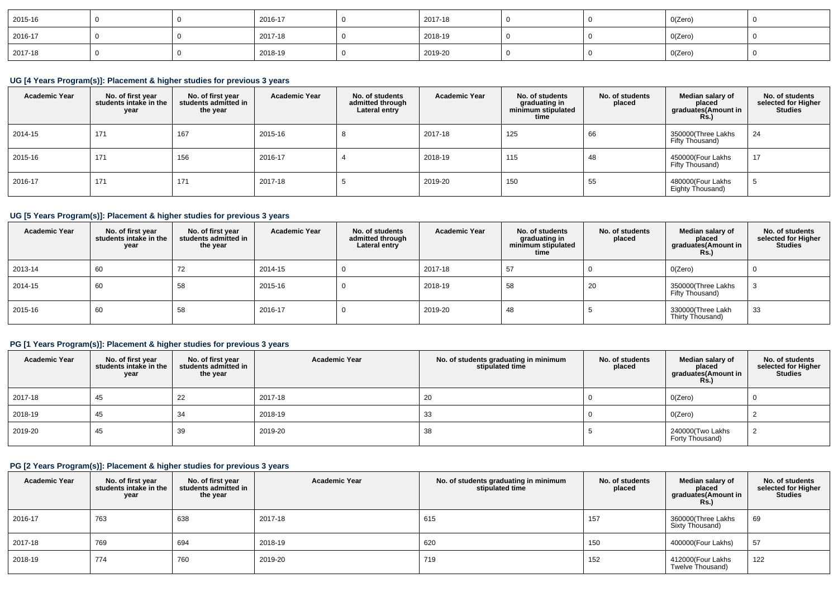| 2015-16 |  | 2016-17 | 2017-18 |  | O(Zero) |  |
|---------|--|---------|---------|--|---------|--|
| 2016-17 |  | 2017-18 | 2018-19 |  | O(Zero) |  |
| 2017-18 |  | 2018-19 | 2019-20 |  | O(Zero) |  |

## **UG [4 Years Program(s)]: Placement & higher studies for previous 3 years**

| <b>Academic Year</b> | No. of first year<br>students intake in the<br>year | No. of first year<br>students admitted in<br>the year | <b>Academic Year</b> | No. of students<br>admitted through<br>Lateral entry | <b>Academic Year</b> | No. of students<br>graduating in<br>minimum stipulated<br>time | No. of students<br>placed | Median salary of<br>placed<br>graduates (Amount in<br><b>Rs.</b> ) | No. of students<br>selected for Higher<br><b>Studies</b> |
|----------------------|-----------------------------------------------------|-------------------------------------------------------|----------------------|------------------------------------------------------|----------------------|----------------------------------------------------------------|---------------------------|--------------------------------------------------------------------|----------------------------------------------------------|
| 2014-15              | 171                                                 | 167                                                   | 2015-16              |                                                      | 2017-18              | 125                                                            | 66                        | 350000(Three Lakhs<br>Fifty Thousand)                              | 24                                                       |
| 2015-16              | 171                                                 | 156                                                   | 2016-17              |                                                      | 2018-19              | 115                                                            | 48                        | 450000(Four Lakhs<br>Fifty Thousand)                               | 17                                                       |
| 2016-17              | 171                                                 | 171                                                   | 2017-18              |                                                      | 2019-20              | 150                                                            | 55                        | 480000(Four Lakhs<br>Eighty Thousand)                              |                                                          |

## **UG [5 Years Program(s)]: Placement & higher studies for previous 3 years**

| <b>Academic Year</b> | No. of first year<br>students intake in the<br>year | No. of first vear<br>students admitted in<br>the year | <b>Academic Year</b> | No. of students<br>admitted through<br>Lateral entry | <b>Academic Year</b> | No. of students<br>graduating in<br>minimum stipulated<br>time | No. of students<br>placed | Median salary of<br>placed<br>graduates(Amount in<br><b>Rs.)</b> | No. of students<br>selected for Higher<br><b>Studies</b> |
|----------------------|-----------------------------------------------------|-------------------------------------------------------|----------------------|------------------------------------------------------|----------------------|----------------------------------------------------------------|---------------------------|------------------------------------------------------------------|----------------------------------------------------------|
| 2013-14              | 60                                                  | 72                                                    | 2014-15              |                                                      | 2017-18              | 57                                                             |                           | O(Zero)                                                          |                                                          |
| 2014-15              | 60                                                  | 58                                                    | 2015-16              |                                                      | 2018-19              | 58                                                             | 20                        | 350000(Three Lakhs<br>Fifty Thousand)                            |                                                          |
| 2015-16              | 60                                                  | 58                                                    | 2016-17              |                                                      | 2019-20              | 48                                                             |                           | 330000(Three Lakh<br>Thirty Thousand)                            | 33                                                       |

## **PG [1 Years Program(s)]: Placement & higher studies for previous 3 years**

| <b>Academic Year</b> | No. of first year<br>students intake in the<br>year | No. of first vear<br>students admitted in<br>the year | <b>Academic Year</b> | No. of students graduating in minimum<br>stipulated time | No. of students<br>placed | Median salary of<br>placed<br>graduates(Amount in<br><b>Rs.)</b> | No. of students<br>selected for Higher<br>Studies |
|----------------------|-----------------------------------------------------|-------------------------------------------------------|----------------------|----------------------------------------------------------|---------------------------|------------------------------------------------------------------|---------------------------------------------------|
| 2017-18              | 45                                                  | 22                                                    | 2017-18              | 20                                                       |                           | O(Zero)                                                          |                                                   |
| 2018-19              | 45                                                  | 34                                                    | 2018-19              | 33                                                       |                           | O(Zero)                                                          |                                                   |
| 2019-20              | 45                                                  | 39                                                    | 2019-20              | 38                                                       |                           | 240000(Two Lakhs<br>Forty Thousand)                              |                                                   |

### **PG [2 Years Program(s)]: Placement & higher studies for previous 3 years**

| <b>Academic Year</b> | No. of first year<br>students intake in the<br>year | No. of first vear<br>students admitted in<br>the year | <b>Academic Year</b> | No. of students graduating in minimum<br>stipulated time | No. of students<br>placed | Median salary of<br>placed<br>graduates(Amount in<br><b>Rs.)</b> | No. of students<br>selected for Higher<br><b>Studies</b> |
|----------------------|-----------------------------------------------------|-------------------------------------------------------|----------------------|----------------------------------------------------------|---------------------------|------------------------------------------------------------------|----------------------------------------------------------|
| 2016-17              | 763                                                 | 638                                                   | 2017-18              | 615                                                      | 157                       | 360000(Three Lakhs<br>Sixty Thousand)                            | 69                                                       |
| 2017-18              | 769                                                 | 694                                                   | 2018-19              | 620                                                      | 150                       | 400000(Four Lakhs)                                               | 57                                                       |
| 2018-19              | 774                                                 | 760                                                   | 2019-20              | 719                                                      | 152                       | 412000(Four Lakhs<br>Twelve Thousand)                            | 122                                                      |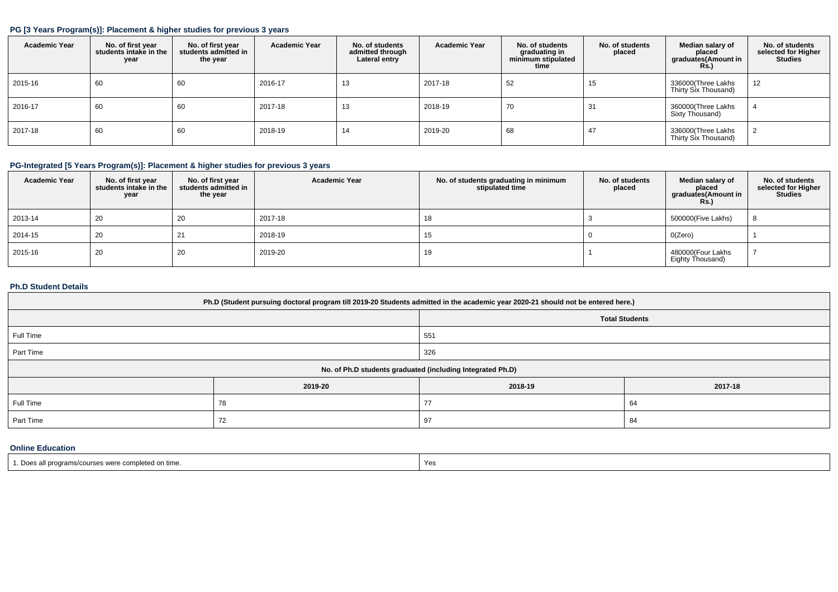### **PG [3 Years Program(s)]: Placement & higher studies for previous 3 years**

| <b>Academic Year</b> | No. of first year<br>students intake in the<br>year | No. of first year<br>students admitted in<br>the year | <b>Academic Year</b> | No. of students<br>admitted through<br>Lateral entry | <b>Academic Year</b> | No. of students<br>graduating in<br>minimum stipulated<br>time | No. of students<br>placed | Median salary of<br>placed<br>graduates(Amount in<br>Rs.) | No. of students<br>selected for Higher<br><b>Studies</b> |
|----------------------|-----------------------------------------------------|-------------------------------------------------------|----------------------|------------------------------------------------------|----------------------|----------------------------------------------------------------|---------------------------|-----------------------------------------------------------|----------------------------------------------------------|
| 2015-16              | 60                                                  | 60                                                    | 2016-17              | 13                                                   | 2017-18              | 52                                                             | 15                        | 336000(Three Lakhs<br>Thirty Six Thousand)                | 12                                                       |
| 2016-17              | 60                                                  | 60                                                    | 2017-18              | 13                                                   | 2018-19              | 70                                                             | 31                        | 360000(Three Lakhs<br>Sixty Thousand)                     |                                                          |
| 2017-18              | 60                                                  | 60                                                    | 2018-19              | 14                                                   | 2019-20              | 68                                                             | 47                        | 336000(Three Lakhs<br>Thirty Six Thousand)                | ▵                                                        |

### **PG-Integrated [5 Years Program(s)]: Placement & higher studies for previous 3 years**

| <b>Academic Year</b> | No. of first year<br>students intake in the<br>year | No. of first year<br>students admitted in<br>the year | <b>Academic Year</b> | No. of students graduating in minimum<br>stipulated time | No. of students<br>placed | Median salary of<br>placed<br>graduates(Amount in<br><b>Rs.)</b> | No. of students<br>selected for Higher<br><b>Studies</b> |
|----------------------|-----------------------------------------------------|-------------------------------------------------------|----------------------|----------------------------------------------------------|---------------------------|------------------------------------------------------------------|----------------------------------------------------------|
| 2013-14              | 20                                                  | 20                                                    | 2017-18              | 18                                                       |                           | 500000(Five Lakhs)                                               |                                                          |
| 2014-15              | 20                                                  | 21                                                    | 2018-19              |                                                          |                           | O(Zero)                                                          |                                                          |
| 2015-16              | 20                                                  | 20                                                    | 2019-20              | 19                                                       |                           | 480000(Four Lakhs<br>Eighty Thousand)                            |                                                          |

### **Ph.D Student Details**

|           | Ph.D (Student pursuing doctoral program till 2019-20 Students admitted in the academic year 2020-21 should not be entered here.) |                                                            |                       |
|-----------|----------------------------------------------------------------------------------------------------------------------------------|------------------------------------------------------------|-----------------------|
|           |                                                                                                                                  |                                                            | <b>Total Students</b> |
| Full Time |                                                                                                                                  | 551                                                        |                       |
| Part Time |                                                                                                                                  | 326                                                        |                       |
|           |                                                                                                                                  | No. of Ph.D students graduated (including Integrated Ph.D) |                       |
|           | 2019-20                                                                                                                          | 2018-19                                                    | 2017-18               |
| Full Time | 78                                                                                                                               | 77                                                         | 64                    |
| Part Time | 72                                                                                                                               | 97                                                         | 84                    |

### **Online Education**

| 1. Does all programs/courses were completed on time. | Yes |
|------------------------------------------------------|-----|
|------------------------------------------------------|-----|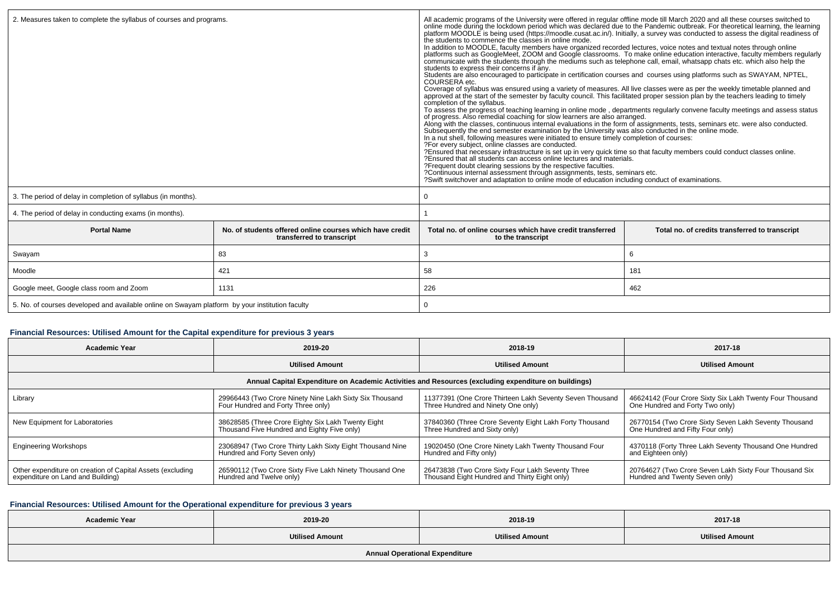| 2. Measures taken to complete the syllabus of courses and programs.                             |                                                                                       | All academic programs of the University were offered in regular offline mode till March 2020 and all these courses switched to online mode during the lockdown period which was declared due to the Pandemic outbreak. For the<br>platform MOODLE is being used (https://moodle.cusat.ac.in/). Initially, a survey was conducted to assess the digital readiness of<br>the students to commence the classes in online mode.<br>In addition to MOODLE, faculty members have organized recorded lectures, voice notes and textual notes through online<br>platforms such as GoogleMeet, ZOOM and Google classrooms. To make online education interactive, faculty members regularly<br>communicate with the students through the mediums such as telephone call, email, whatsapp chats etc. which also help the<br>students to express their concerns if any.<br>Students are also encouraged to participate in certification courses and courses using platforms such as SWAYAM, NPTEL,<br>COURSERA etc.<br>Coverage of syllabus was ensured using a variety of measures. All live classes were as per the weekly timetable planned and<br>approved at the start of the semester by faculty council. This facilitated proper session plan by<br>completion of the syllabus.<br>To assess the progress of teaching learning in online mode, departments regularly convene faculty meetings and assess status<br>of progress. Also remedial coaching for slow learners are also arranged.<br>Along with the classes, continuous internal evaluations in the form of assignments, tests, seminars etc. were also conducted.<br>Subsequently the end se<br>In a nut shell, following measures were initiated to ensure timely completion of courses:<br>?For every subject, online classes are conducted.<br>?Ensured that necessary infrastructure is set up in very quick time so that faculty members could conduct classes online.<br>?Ensured that all students can access online lectures and materials.<br>?Frequent doubt clearing sessions by the respective faculties.<br>?Continuous internal assessment through assignments, tests, seminars etc.<br>?Swift switchover and adaptation to online mode of education including conduct of examinations. |                                                |  |  |  |
|-------------------------------------------------------------------------------------------------|---------------------------------------------------------------------------------------|-------------------------------------------------------------------------------------------------------------------------------------------------------------------------------------------------------------------------------------------------------------------------------------------------------------------------------------------------------------------------------------------------------------------------------------------------------------------------------------------------------------------------------------------------------------------------------------------------------------------------------------------------------------------------------------------------------------------------------------------------------------------------------------------------------------------------------------------------------------------------------------------------------------------------------------------------------------------------------------------------------------------------------------------------------------------------------------------------------------------------------------------------------------------------------------------------------------------------------------------------------------------------------------------------------------------------------------------------------------------------------------------------------------------------------------------------------------------------------------------------------------------------------------------------------------------------------------------------------------------------------------------------------------------------------------------------------------------------------------------------------------------------------------------------------------------------------------------------------------------------------------------------------------------------------------------------------------------------------------------------------------------------------------------------------------------------------------------------------------------------------------------------------------------------------------------------------------------------------------------------------------|------------------------------------------------|--|--|--|
| 3. The period of delay in completion of syllabus (in months).                                   |                                                                                       |                                                                                                                                                                                                                                                                                                                                                                                                                                                                                                                                                                                                                                                                                                                                                                                                                                                                                                                                                                                                                                                                                                                                                                                                                                                                                                                                                                                                                                                                                                                                                                                                                                                                                                                                                                                                                                                                                                                                                                                                                                                                                                                                                                                                                                                             |                                                |  |  |  |
| 4. The period of delay in conducting exams (in months).                                         |                                                                                       |                                                                                                                                                                                                                                                                                                                                                                                                                                                                                                                                                                                                                                                                                                                                                                                                                                                                                                                                                                                                                                                                                                                                                                                                                                                                                                                                                                                                                                                                                                                                                                                                                                                                                                                                                                                                                                                                                                                                                                                                                                                                                                                                                                                                                                                             |                                                |  |  |  |
| <b>Portal Name</b>                                                                              | No, of students offered online courses which have credit<br>transferred to transcript | Total no, of online courses which have credit transferred<br>to the transcript                                                                                                                                                                                                                                                                                                                                                                                                                                                                                                                                                                                                                                                                                                                                                                                                                                                                                                                                                                                                                                                                                                                                                                                                                                                                                                                                                                                                                                                                                                                                                                                                                                                                                                                                                                                                                                                                                                                                                                                                                                                                                                                                                                              | Total no. of credits transferred to transcript |  |  |  |
| Swayam                                                                                          | 83                                                                                    | 3                                                                                                                                                                                                                                                                                                                                                                                                                                                                                                                                                                                                                                                                                                                                                                                                                                                                                                                                                                                                                                                                                                                                                                                                                                                                                                                                                                                                                                                                                                                                                                                                                                                                                                                                                                                                                                                                                                                                                                                                                                                                                                                                                                                                                                                           | 6                                              |  |  |  |
| Moodle                                                                                          | 421                                                                                   | 58                                                                                                                                                                                                                                                                                                                                                                                                                                                                                                                                                                                                                                                                                                                                                                                                                                                                                                                                                                                                                                                                                                                                                                                                                                                                                                                                                                                                                                                                                                                                                                                                                                                                                                                                                                                                                                                                                                                                                                                                                                                                                                                                                                                                                                                          | 181                                            |  |  |  |
| Google meet, Google class room and Zoom                                                         | 1131                                                                                  | 226<br>462                                                                                                                                                                                                                                                                                                                                                                                                                                                                                                                                                                                                                                                                                                                                                                                                                                                                                                                                                                                                                                                                                                                                                                                                                                                                                                                                                                                                                                                                                                                                                                                                                                                                                                                                                                                                                                                                                                                                                                                                                                                                                                                                                                                                                                                  |                                                |  |  |  |
| 5. No. of courses developed and available online on Swayam platform by your institution faculty |                                                                                       | $\Omega$                                                                                                                                                                                                                                                                                                                                                                                                                                                                                                                                                                                                                                                                                                                                                                                                                                                                                                                                                                                                                                                                                                                                                                                                                                                                                                                                                                                                                                                                                                                                                                                                                                                                                                                                                                                                                                                                                                                                                                                                                                                                                                                                                                                                                                                    |                                                |  |  |  |

# **Financial Resources: Utilised Amount for the Capital expenditure for previous 3 years**

| <b>Academic Year</b>                                                                            | 2019-20                                                                                                                                                                                         | 2018-19                                                                                              | 2017-18                                                                                     |  |
|-------------------------------------------------------------------------------------------------|-------------------------------------------------------------------------------------------------------------------------------------------------------------------------------------------------|------------------------------------------------------------------------------------------------------|---------------------------------------------------------------------------------------------|--|
|                                                                                                 | <b>Utilised Amount</b>                                                                                                                                                                          | <b>Utilised Amount</b>                                                                               | <b>Utilised Amount</b>                                                                      |  |
|                                                                                                 |                                                                                                                                                                                                 | Annual Capital Expenditure on Academic Activities and Resources (excluding expenditure on buildings) |                                                                                             |  |
| Library                                                                                         | 29966443 (Two Crore Ninety Nine Lakh Sixty Six Thousand<br>11377391 (One Crore Thirteen Lakh Seventy Seven Thousand<br>Four Hundred and Forty Three only)<br>Three Hundred and Ninety One only) |                                                                                                      | 46624142 (Four Crore Sixty Six Lakh Twenty Four Thousand<br>One Hundred and Forty Two only) |  |
| New Equipment for Laboratories                                                                  | 38628585 (Three Crore Eighty Six Lakh Twenty Eight<br>Thousand Five Hundred and Eighty Five only)                                                                                               | 37840360 (Three Crore Seventy Eight Lakh Forty Thousand<br>Three Hundred and Sixty only)             | 26770154 (Two Crore Sixty Seven Lakh Seventy Thousand<br>One Hundred and Fifty Four only)   |  |
| <b>Engineering Workshops</b>                                                                    | 23068947 (Two Crore Thirty Lakh Sixty Eight Thousand Nine<br>Hundred and Forty Seven only)                                                                                                      | 19020450 (One Crore Ninety Lakh Twenty Thousand Four<br>Hundred and Fifty only)                      | 4370118 (Forty Three Lakh Seventy Thousand One Hundred<br>and Eighteen only)                |  |
| Other expenditure on creation of Capital Assets (excluding<br>expenditure on Land and Building) | 26590112 (Two Crore Sixty Five Lakh Ninety Thousand One<br>Hundred and Twelve only)                                                                                                             | 26473838 (Two Crore Sixty Four Lakh Seventy Three<br>Thousand Eight Hundred and Thirty Eight only)   | 20764627 (Two Crore Seven Lakh Sixty Four Thousand Six<br>Hundred and Twenty Seven only)    |  |

## **Financial Resources: Utilised Amount for the Operational expenditure for previous 3 years**

| <b>Academic Year</b>                  | 2019-20                | 2018-19                | 2017-18                |  |
|---------------------------------------|------------------------|------------------------|------------------------|--|
|                                       | <b>Utilised Amount</b> | <b>Utilised Amount</b> | <b>Utilised Amount</b> |  |
| <b>Annual Operational Expenditure</b> |                        |                        |                        |  |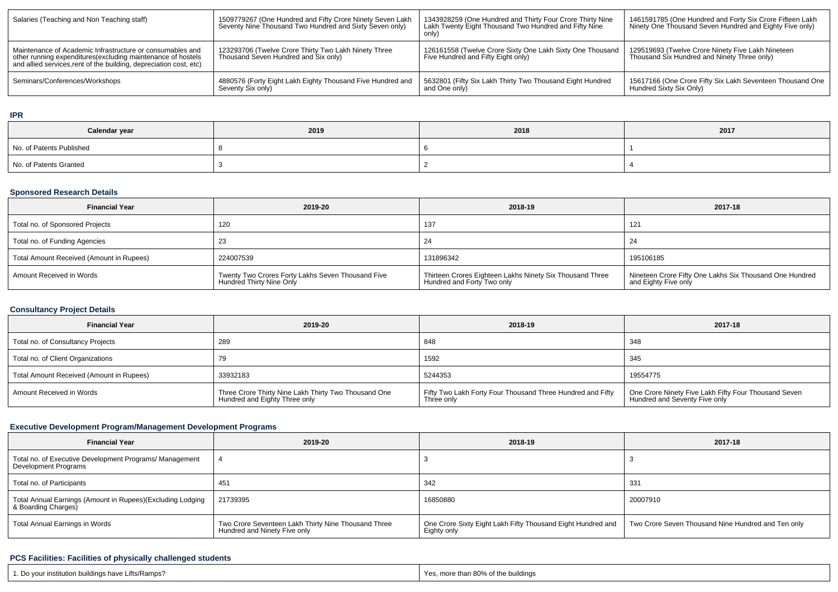| Salaries (Teaching and Non Teaching staff)                                                                                                                                                      | 1509779267 (One Hundred and Fifty Crore Ninety Seven Lakh<br>Seventy Nine Thousand Two Hundred and Sixty Seven only) | 1343928259 (One Hundred and Thirty Four Crore Thirty Nine<br>Lakh Twenty Eight Thousand Two Hundred and Fifty Nine<br>only) | 1461591785 (One Hundred and Forty Six Crore Fifteen Lakh<br>Ninety One Thousand Seven Hundred and Eighty Five only) |  |
|-------------------------------------------------------------------------------------------------------------------------------------------------------------------------------------------------|----------------------------------------------------------------------------------------------------------------------|-----------------------------------------------------------------------------------------------------------------------------|---------------------------------------------------------------------------------------------------------------------|--|
| Maintenance of Academic Infrastructure or consumables and<br>other running expenditures (excluding maintenance of hostels<br>and allied services, rent of the building, depreciation cost, etc) | 123293706 (Twelve Crore Thirty Two Lakh Ninety Three<br>Thousand Seven Hundred and Six only)                         | 126161558 (Twelve Crore Sixty One Lakh Sixty One Thousand<br>Five Hundred and Fifty Eight only)                             | 129519693 (Twelve Crore Ninety Five Lakh Nineteen<br>Thousand Six Hundred and Ninety Three only)                    |  |
| Seminars/Conferences/Workshops                                                                                                                                                                  | 4880576 (Forty Eight Lakh Eighty Thousand Five Hundred and<br>Seventy Six only)                                      | 5632801 (Fifty Six Lakh Thirty Two Thousand Eight Hundred<br>and One only)                                                  | 15617166 (One Crore Fifty Six Lakh Seventeen Thousand One<br>Hundred Sixty Six Only)                                |  |

#### **IPR**

| Calendar year            | 2019 | 2018 | 2017 |  |  |
|--------------------------|------|------|------|--|--|
| No. of Patents Published |      |      |      |  |  |
| No. of Patents Granted   |      |      |      |  |  |

## **Sponsored Research Details**

| <b>Financial Year</b>                    | 2019-20                                                                       | 2018-19                                                                                | 2017-18                                                                         |  |  |
|------------------------------------------|-------------------------------------------------------------------------------|----------------------------------------------------------------------------------------|---------------------------------------------------------------------------------|--|--|
| Total no. of Sponsored Projects          | 120                                                                           | 137                                                                                    | 121                                                                             |  |  |
| Total no. of Funding Agencies            | 23                                                                            | -4                                                                                     | -24                                                                             |  |  |
| Total Amount Received (Amount in Rupees) | 224007539                                                                     | 131896342                                                                              | 195106185                                                                       |  |  |
| Amount Received in Words                 | Twenty Two Crores Forty Lakhs Seven Thousand Five<br>Hundred Thirty Nine Only | Thirteen Crores Eighteen Lakhs Ninety Six Thousand Three<br>Hundred and Forty Two only | Nineteen Crore Fifty One Lakhs Six Thousand One Hundred<br>and Eighty Five only |  |  |

## **Consultancy Project Details**

| <b>Financial Year</b>                    | 2019-20                                                                               | 2018-19                                                                  | 2017-18                                                                               |  |
|------------------------------------------|---------------------------------------------------------------------------------------|--------------------------------------------------------------------------|---------------------------------------------------------------------------------------|--|
| Total no. of Consultancy Projects        | 289                                                                                   | 848                                                                      | 348                                                                                   |  |
| Total no. of Client Organizations        |                                                                                       | 1592                                                                     | 345                                                                                   |  |
| Total Amount Received (Amount in Rupees) | 33932183                                                                              | 5244353                                                                  | 19554775                                                                              |  |
| Amount Received in Words                 | Three Crore Thirty Nine Lakh Thirty Two Thousand One<br>Hundred and Eighty Three only | Fifty Two Lakh Forty Four Thousand Three Hundred and Fifty<br>Three only | One Crore Ninety Five Lakh Fifty Four Thousand Seven<br>Hundred and Seventy Five only |  |

## **Executive Development Program/Management Development Programs**

| <b>Financial Year</b>                                                             | 2019-20                                                                             | 2018-19                                                                    | 2017-18                                            |  |
|-----------------------------------------------------------------------------------|-------------------------------------------------------------------------------------|----------------------------------------------------------------------------|----------------------------------------------------|--|
| Total no. of Executive Development Programs/ Management<br>Development Programs   |                                                                                     |                                                                            |                                                    |  |
| Total no. of Participants                                                         | 451                                                                                 | 342                                                                        | 33'                                                |  |
| Total Annual Earnings (Amount in Rupees)(Excluding Lodging<br>& Boarding Charges) | 21739395                                                                            | 16850880                                                                   | 20007910                                           |  |
| Total Annual Earnings in Words                                                    | Two Crore Seventeen Lakh Thirty Nine Thousand Three<br>Hundred and Ninety Five only | One Crore Sixty Eight Lakh Fifty Thousand Eight Hundred and<br>Eighty only | Two Crore Seven Thousand Nine Hundred and Ten only |  |

## **PCS Facilities: Facilities of physically challenged students**

| 1. Do your institution buildings have Lifts/Ramps? | Yes, more than 80% of the buildings |
|----------------------------------------------------|-------------------------------------|
|----------------------------------------------------|-------------------------------------|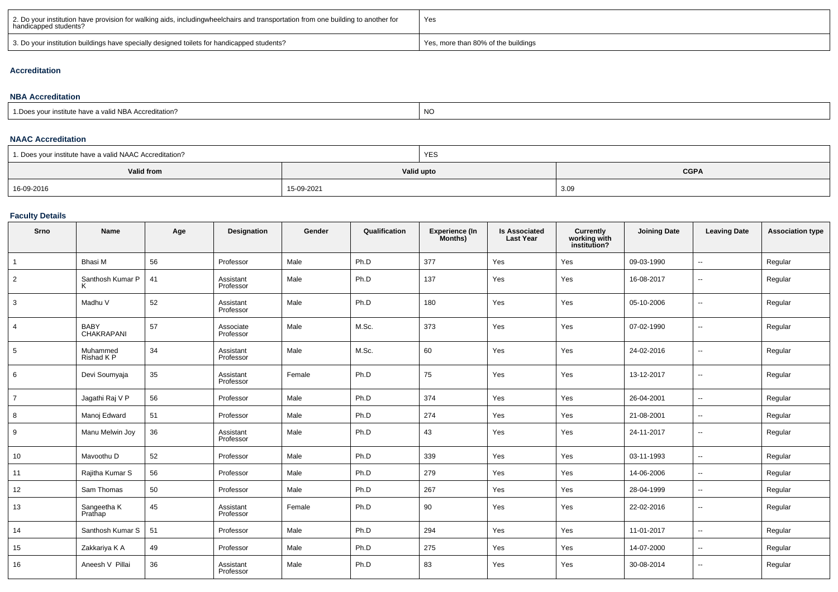| 2. Do your institution have provision for walking aids, includingwheelchairs and transportation from one building to another for<br>handicapped students? | Yes                                 |
|-----------------------------------------------------------------------------------------------------------------------------------------------------------|-------------------------------------|
| 3. Do your institution buildings have specially designed toilets for handicapped students?                                                                | Yes, more than 80% of the buildings |

### **Accreditation**

#### **NBA Accreditation**1.Does your institute have a valid NBA Accreditation?expression of the contract of the contract of the contract of the contract of the contract of the contract of the contract of the contract of the contract of the contract of the contract of the contract of the contract of

#### **NAAC Accreditation**

| 1. Does your institute have a valid NAAC Accreditation? |            | YES |             |
|---------------------------------------------------------|------------|-----|-------------|
| Valid from                                              | Valid upto |     | <b>CGPA</b> |
| 16-09-2016                                              | 15-09-2021 |     | 3.09        |

### **Faculty Details**

| Srno           | Name                      | Age | Designation            | Gender | Qualification | Experience (In<br>Months) | <b>Is Associated</b><br><b>Last Year</b> | Currently<br>working with<br>institution? | <b>Joining Date</b> | <b>Leaving Date</b>      | <b>Association type</b> |
|----------------|---------------------------|-----|------------------------|--------|---------------|---------------------------|------------------------------------------|-------------------------------------------|---------------------|--------------------------|-------------------------|
|                | Bhasi M                   | 56  | Professor              | Male   | Ph.D          | 377                       | Yes                                      | Yes                                       | 09-03-1990          | $\overline{\phantom{a}}$ | Regular                 |
| $\overline{2}$ | Santhosh Kumar P          | 41  | Assistant<br>Professor | Male   | Ph.D          | 137                       | Yes                                      | Yes                                       | 16-08-2017          | --                       | Regular                 |
| 3              | Madhu V                   | 52  | Assistant<br>Professor | Male   | Ph.D          | 180                       | Yes                                      | Yes                                       | 05-10-2006          | $\overline{\phantom{a}}$ | Regular                 |
| 4              | <b>BABY</b><br>CHAKRAPANI | 57  | Associate<br>Professor | Male   | M.Sc.         | 373                       | Yes                                      | Yes                                       | 07-02-1990          | --                       | Regular                 |
| 5              | Muhammed<br>Rishad K P    | 34  | Assistant<br>Professor | Male   | M.Sc.         | 60                        | Yes                                      | Yes                                       | 24-02-2016          | $\overline{\phantom{a}}$ | Regular                 |
| 6              | Devi Soumyaja             | 35  | Assistant<br>Professor | Female | Ph.D          | 75                        | Yes                                      | Yes                                       | 13-12-2017          | --                       | Regular                 |
| $\overline{7}$ | Jagathi Raj V P           | 56  | Professor              | Male   | Ph.D          | 374                       | Yes                                      | Yes                                       | 26-04-2001          | --                       | Regular                 |
| 8              | Manoj Edward              | 51  | Professor              | Male   | Ph.D          | 274                       | Yes                                      | Yes                                       | 21-08-2001          | $\overline{\phantom{a}}$ | Regular                 |
| 9              | Manu Melwin Joy           | 36  | Assistant<br>Professor | Male   | Ph.D          | 43                        | Yes                                      | Yes                                       | 24-11-2017          | --                       | Regular                 |
| 10             | Mavoothu D                | 52  | Professor              | Male   | Ph.D          | 339                       | Yes                                      | Yes                                       | 03-11-1993          | $\overline{\phantom{a}}$ | Regular                 |
| 11             | Rajitha Kumar S           | 56  | Professor              | Male   | Ph.D          | 279                       | Yes                                      | Yes                                       | 14-06-2006          | --                       | Regular                 |
| 12             | Sam Thomas                | 50  | Professor              | Male   | Ph.D          | 267                       | Yes                                      | Yes                                       | 28-04-1999          | $\overline{\phantom{a}}$ | Regular                 |
| 13             | Sangeetha K<br>Prathap    | 45  | Assistant<br>Professor | Female | Ph.D          | 90                        | Yes                                      | Yes                                       | 22-02-2016          | $\overline{\phantom{a}}$ | Regular                 |
| 14             | Santhosh Kumar S          | 51  | Professor              | Male   | Ph.D          | 294                       | Yes                                      | Yes                                       | 11-01-2017          | $\overline{\phantom{a}}$ | Regular                 |
| 15             | Zakkariya K A             | 49  | Professor              | Male   | Ph.D          | 275                       | Yes                                      | Yes                                       | 14-07-2000          | $\overline{\phantom{a}}$ | Regular                 |
| 16             | Aneesh V Pillai           | 36  | Assistant<br>Professor | Male   | Ph.D          | 83                        | Yes                                      | Yes                                       | 30-08-2014          | $\overline{\phantom{a}}$ | Regular                 |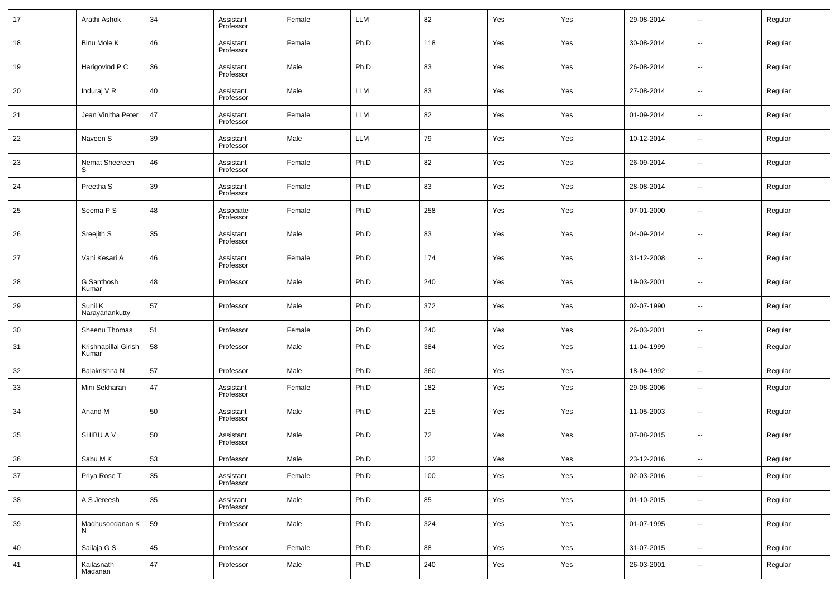| 17 | Arathi Ashok                  | 34 | Assistant<br>Professor | Female | <b>LLM</b> | 82  | Yes | Yes | 29-08-2014 | --                       | Regular |
|----|-------------------------------|----|------------------------|--------|------------|-----|-----|-----|------------|--------------------------|---------|
| 18 | Binu Mole K                   | 46 | Assistant<br>Professor | Female | Ph.D       | 118 | Yes | Yes | 30-08-2014 | --                       | Regular |
| 19 | Harigovind P C                | 36 | Assistant<br>Professor | Male   | Ph.D       | 83  | Yes | Yes | 26-08-2014 | $\overline{\phantom{a}}$ | Regular |
| 20 | Induraj V R                   | 40 | Assistant<br>Professor | Male   | <b>LLM</b> | 83  | Yes | Yes | 27-08-2014 | --                       | Regular |
| 21 | Jean Vinitha Peter            | 47 | Assistant<br>Professor | Female | LLM        | 82  | Yes | Yes | 01-09-2014 | $\overline{\phantom{a}}$ | Regular |
| 22 | Naveen S                      | 39 | Assistant<br>Professor | Male   | <b>LLM</b> | 79  | Yes | Yes | 10-12-2014 | --                       | Regular |
| 23 | Nemat Sheereen                | 46 | Assistant<br>Professor | Female | Ph.D       | 82  | Yes | Yes | 26-09-2014 | $\overline{\phantom{a}}$ | Regular |
| 24 | Preetha <sub>S</sub>          | 39 | Assistant<br>Professor | Female | Ph.D       | 83  | Yes | Yes | 28-08-2014 | --                       | Regular |
| 25 | Seema P S                     | 48 | Associate<br>Professor | Female | Ph.D       | 258 | Yes | Yes | 07-01-2000 | $\overline{\phantom{a}}$ | Regular |
| 26 | Sreejith S                    | 35 | Assistant<br>Professor | Male   | Ph.D       | 83  | Yes | Yes | 04-09-2014 | --                       | Regular |
| 27 | Vani Kesari A                 | 46 | Assistant<br>Professor | Female | Ph.D       | 174 | Yes | Yes | 31-12-2008 | ш,                       | Regular |
| 28 | G Santhosh<br>Kumar           | 48 | Professor              | Male   | Ph.D       | 240 | Yes | Yes | 19-03-2001 | --                       | Regular |
| 29 | Sunil K<br>Narayanankutty     | 57 | Professor              | Male   | Ph.D       | 372 | Yes | Yes | 02-07-1990 | ш,                       | Regular |
| 30 | Sheenu Thomas                 | 51 | Professor              | Female | Ph.D       | 240 | Yes | Yes | 26-03-2001 | --                       | Regular |
| 31 | Krishnapillai Girish<br>Kumar | 58 | Professor              | Male   | Ph.D       | 384 | Yes | Yes | 11-04-1999 | $\sim$                   | Regular |
| 32 | Balakrishna N                 | 57 | Professor              | Male   | Ph.D       | 360 | Yes | Yes | 18-04-1992 | $\sim$                   | Regular |
| 33 | Mini Sekharan                 | 47 | Assistant<br>Professor | Female | Ph.D       | 182 | Yes | Yes | 29-08-2006 | --                       | Regular |
| 34 | Anand M                       | 50 | Assistant<br>Professor | Male   | Ph.D       | 215 | Yes | Yes | 11-05-2003 | --                       | Regular |
| 35 | SHIBU A V                     | 50 | Assistant<br>Professor | Male   | Ph.D       | 72  | Yes | Yes | 07-08-2015 | --                       | Regular |
| 36 | Sabu MK                       | 53 | Professor              | Male   | Ph.D       | 132 | Yes | Yes | 23-12-2016 | $\overline{\phantom{a}}$ | Regular |
| 37 | Priya Rose T                  | 35 | Assistant<br>Professor | Female | Ph.D       | 100 | Yes | Yes | 02-03-2016 | $\sim$                   | Regular |
| 38 | A S Jereesh                   | 35 | Assistant<br>Professor | Male   | Ph.D       | 85  | Yes | Yes | 01-10-2015 | $\sim$                   | Regular |
| 39 | Madhusoodanan K<br>N          | 59 | Professor              | Male   | Ph.D       | 324 | Yes | Yes | 01-07-1995 | $\sim$                   | Regular |
| 40 | Sailaja G S                   | 45 | Professor              | Female | Ph.D       | 88  | Yes | Yes | 31-07-2015 | $\overline{\phantom{a}}$ | Regular |
| 41 | Kailasnath<br>Madanan         | 47 | Professor              | Male   | Ph.D       | 240 | Yes | Yes | 26-03-2001 | $\overline{\phantom{a}}$ | Regular |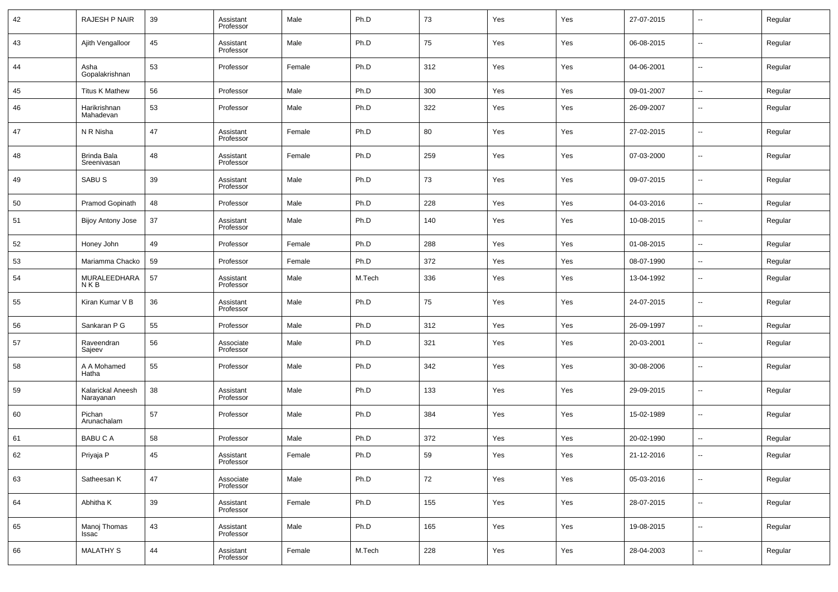| 42 | RAJESH P NAIR                  | 39 | Assistant<br>Professor | Male   | Ph.D   | 73  | Yes | Yes | 27-07-2015 | $\overline{\phantom{a}}$ | Regular |
|----|--------------------------------|----|------------------------|--------|--------|-----|-----|-----|------------|--------------------------|---------|
| 43 | Ajith Vengalloor               | 45 | Assistant<br>Professor | Male   | Ph.D   | 75  | Yes | Yes | 06-08-2015 | $\sim$                   | Regular |
| 44 | Asha<br>Gopalakrishnan         | 53 | Professor              | Female | Ph.D   | 312 | Yes | Yes | 04-06-2001 | $\sim$                   | Regular |
| 45 | <b>Titus K Mathew</b>          | 56 | Professor              | Male   | Ph.D   | 300 | Yes | Yes | 09-01-2007 | $\overline{\phantom{a}}$ | Regular |
| 46 | Harikrishnan<br>Mahadevan      | 53 | Professor              | Male   | Ph.D   | 322 | Yes | Yes | 26-09-2007 | $\overline{\phantom{a}}$ | Regular |
| 47 | N R Nisha                      | 47 | Assistant<br>Professor | Female | Ph.D   | 80  | Yes | Yes | 27-02-2015 | $\overline{\phantom{a}}$ | Regular |
| 48 | Brinda Bala<br>Sreenivasan     | 48 | Assistant<br>Professor | Female | Ph.D   | 259 | Yes | Yes | 07-03-2000 | $\overline{\phantom{a}}$ | Regular |
| 49 | SABU <sub>S</sub>              | 39 | Assistant<br>Professor | Male   | Ph.D   | 73  | Yes | Yes | 09-07-2015 | $\overline{\phantom{a}}$ | Regular |
| 50 | Pramod Gopinath                | 48 | Professor              | Male   | Ph.D   | 228 | Yes | Yes | 04-03-2016 | ٠.                       | Regular |
| 51 | <b>Bijoy Antony Jose</b>       | 37 | Assistant<br>Professor | Male   | Ph.D   | 140 | Yes | Yes | 10-08-2015 | $\overline{\phantom{a}}$ | Regular |
| 52 | Honey John                     | 49 | Professor              | Female | Ph.D   | 288 | Yes | Yes | 01-08-2015 | $\overline{\phantom{a}}$ | Regular |
| 53 | Mariamma Chacko                | 59 | Professor              | Female | Ph.D   | 372 | Yes | Yes | 08-07-1990 | $\sim$                   | Regular |
| 54 | MURALEEDHARA<br>NKB            | 57 | Assistant<br>Professor | Male   | M.Tech | 336 | Yes | Yes | 13-04-1992 | $\overline{\phantom{a}}$ | Regular |
| 55 | Kiran Kumar V B                | 36 | Assistant<br>Professor | Male   | Ph.D   | 75  | Yes | Yes | 24-07-2015 | $\overline{\phantom{a}}$ | Regular |
| 56 | Sankaran P G                   | 55 | Professor              | Male   | Ph.D   | 312 | Yes | Yes | 26-09-1997 | ٠.                       | Regular |
| 57 | Raveendran<br>Sajeev           | 56 | Associate<br>Professor | Male   | Ph.D   | 321 | Yes | Yes | 20-03-2001 | $\overline{\phantom{a}}$ | Regular |
| 58 | A A Mohamed<br>Hatha           | 55 | Professor              | Male   | Ph.D   | 342 | Yes | Yes | 30-08-2006 | $\ddotsc$                | Regular |
| 59 | Kalarickal Aneesh<br>Narayanan | 38 | Assistant<br>Professor | Male   | Ph.D   | 133 | Yes | Yes | 29-09-2015 | $\ddotsc$                | Regular |
| 60 | Pichan<br>Arunachalam          | 57 | Professor              | Male   | Ph.D   | 384 | Yes | Yes | 15-02-1989 | $\ddotsc$                | Regular |
| 61 | <b>BABUCA</b>                  | 58 | Professor              | Male   | Ph.D   | 372 | Yes | Yes | 20-02-1990 | $\ddotsc$                | Regular |
| 62 | Priyaja P                      | 45 | Assistant<br>Professor | Female | Ph.D   | 59  | Yes | Yes | 21-12-2016 | ⊷                        | Regular |
| 63 | Satheesan K                    | 47 | Associate<br>Professor | Male   | Ph.D   | 72  | Yes | Yes | 05-03-2016 | $\sim$                   | Regular |
| 64 | Abhitha K                      | 39 | Assistant<br>Professor | Female | Ph.D   | 155 | Yes | Yes | 28-07-2015 | $\sim$                   | Regular |
| 65 | Manoj Thomas<br>Issac          | 43 | Assistant<br>Professor | Male   | Ph.D   | 165 | Yes | Yes | 19-08-2015 | $\sim$                   | Regular |
| 66 | MALATHY S                      | 44 | Assistant<br>Professor | Female | M.Tech | 228 | Yes | Yes | 28-04-2003 | $\overline{\phantom{a}}$ | Regular |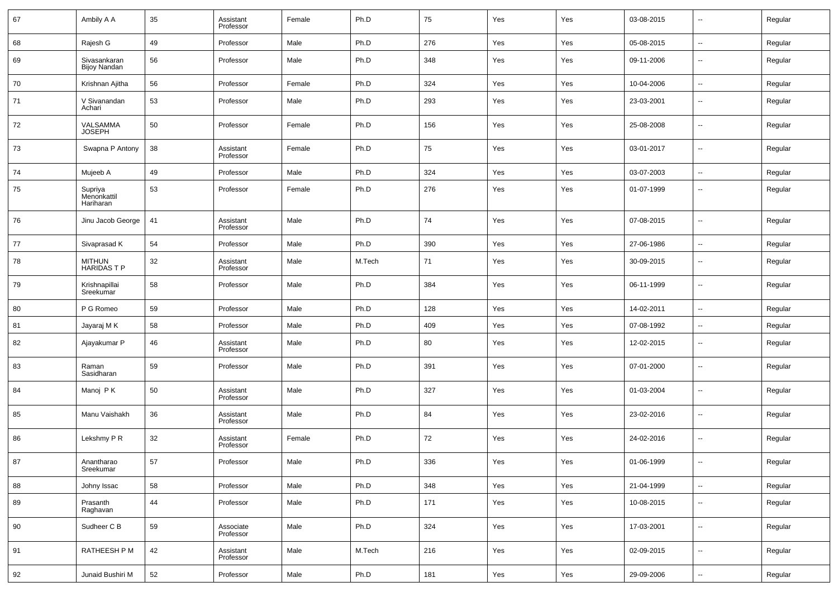| 67 | Ambily A A                          | 35 | Assistant<br>Professor | Female | Ph.D   | 75  | Yes | Yes | 03-08-2015 | --                       | Regular |
|----|-------------------------------------|----|------------------------|--------|--------|-----|-----|-----|------------|--------------------------|---------|
| 68 | Rajesh G                            | 49 | Professor              | Male   | Ph.D   | 276 | Yes | Yes | 05-08-2015 | ш,                       | Regular |
| 69 | Sivasankaran<br><b>Bijoy Nandan</b> | 56 | Professor              | Male   | Ph.D   | 348 | Yes | Yes | 09-11-2006 | $\sim$                   | Regular |
| 70 | Krishnan Ajitha                     | 56 | Professor              | Female | Ph.D   | 324 | Yes | Yes | 10-04-2006 | $\sim$                   | Regular |
| 71 | V Sivanandan<br>Achari              | 53 | Professor              | Male   | Ph.D   | 293 | Yes | Yes | 23-03-2001 | --                       | Regular |
| 72 | VALSAMMA<br><b>JOSEPH</b>           | 50 | Professor              | Female | Ph.D   | 156 | Yes | Yes | 25-08-2008 | $\sim$                   | Regular |
| 73 | Swapna P Antony                     | 38 | Assistant<br>Professor | Female | Ph.D   | 75  | Yes | Yes | 03-01-2017 | --                       | Regular |
| 74 | Mujeeb A                            | 49 | Professor              | Male   | Ph.D   | 324 | Yes | Yes | 03-07-2003 | $\sim$                   | Regular |
| 75 | Supriya<br>Menonkattil<br>Hariharan | 53 | Professor              | Female | Ph.D   | 276 | Yes | Yes | 01-07-1999 | --                       | Regular |
| 76 | Jinu Jacob George                   | 41 | Assistant<br>Professor | Male   | Ph.D   | 74  | Yes | Yes | 07-08-2015 | н.                       | Regular |
| 77 | Sivaprasad K                        | 54 | Professor              | Male   | Ph.D   | 390 | Yes | Yes | 27-06-1986 | н.                       | Regular |
| 78 | MITHUN<br><b>HARIDASTP</b>          | 32 | Assistant<br>Professor | Male   | M.Tech | 71  | Yes | Yes | 30-09-2015 | --                       | Regular |
| 79 | Krishnapillai<br>Sreekumar          | 58 | Professor              | Male   | Ph.D   | 384 | Yes | Yes | 06-11-1999 | --                       | Regular |
| 80 | P G Romeo                           | 59 | Professor              | Male   | Ph.D   | 128 | Yes | Yes | 14-02-2011 | ш.                       | Regular |
| 81 | Jayaraj M K                         | 58 | Professor              | Male   | Ph.D   | 409 | Yes | Yes | 07-08-1992 | --                       | Regular |
| 82 | Ajayakumar P                        | 46 | Assistant<br>Professor | Male   | Ph.D   | 80  | Yes | Yes | 12-02-2015 | --                       | Regular |
| 83 | Raman<br>Sasidharan                 | 59 | Professor              | Male   | Ph.D   | 391 | Yes | Yes | 07-01-2000 | --                       | Regular |
| 84 | Manoj PK                            | 50 | Assistant<br>Professor | Male   | Ph.D   | 327 | Yes | Yes | 01-03-2004 | --                       | Regular |
| 85 | Manu Vaishakh                       | 36 | Assistant<br>Professor | Male   | Ph.D   | 84  | Yes | Yes | 23-02-2016 | --                       | Regular |
| 86 | Lekshmy P R                         | 32 | Assistant<br>Professor | Female | Ph.D   | 72  | Yes | Yes | 24-02-2016 | --                       | Regular |
| 87 | Anantharao<br>Sreekumar             | 57 | Professor              | Male   | Ph.D   | 336 | Yes | Yes | 01-06-1999 | $\sim$                   | Regular |
| 88 | Johny Issac                         | 58 | Professor              | Male   | Ph.D   | 348 | Yes | Yes | 21-04-1999 | ٠.                       | Regular |
| 89 | Prasanth<br>Raghavan                | 44 | Professor              | Male   | Ph.D   | 171 | Yes | Yes | 10-08-2015 | $\sim$                   | Regular |
| 90 | Sudheer C B                         | 59 | Associate<br>Professor | Male   | Ph.D   | 324 | Yes | Yes | 17-03-2001 | $\overline{\phantom{a}}$ | Regular |
| 91 | RATHEESH P M                        | 42 | Assistant<br>Professor | Male   | M.Tech | 216 | Yes | Yes | 02-09-2015 | $\overline{\phantom{a}}$ | Regular |
| 92 | Junaid Bushiri M                    | 52 | Professor              | Male   | Ph.D   | 181 | Yes | Yes | 29-09-2006 | $\overline{\phantom{a}}$ | Regular |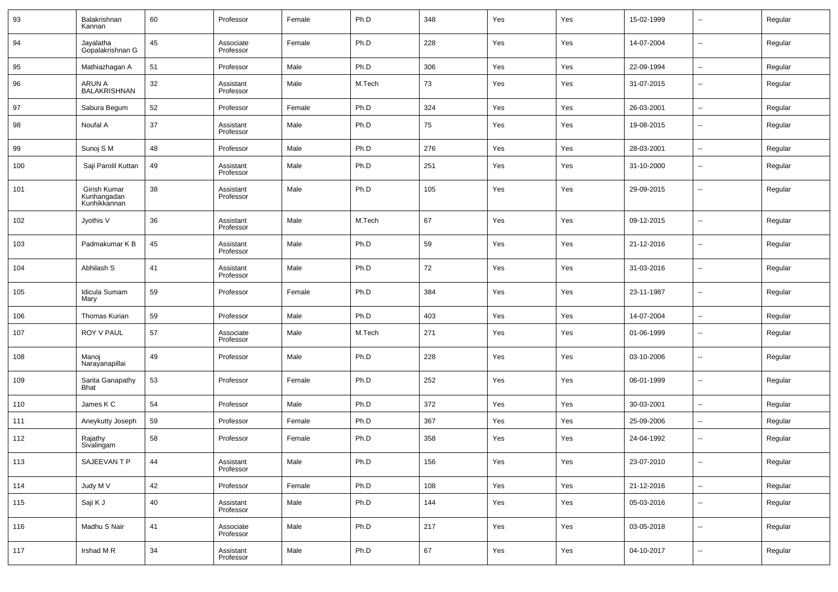| 93  | Balakrishnan<br>Kannan                      | 60 | Professor              | Female | Ph.D   | 348 | Yes | Yes | 15-02-1999 | $\overline{\phantom{a}}$ | Regular |
|-----|---------------------------------------------|----|------------------------|--------|--------|-----|-----|-----|------------|--------------------------|---------|
| 94  | Jayalatha<br>Gopalakrishnan G               | 45 | Associate<br>Professor | Female | Ph.D   | 228 | Yes | Yes | 14-07-2004 | $\overline{\phantom{a}}$ | Regular |
| 95  | Mathiazhagan A                              | 51 | Professor              | Male   | Ph.D   | 306 | Yes | Yes | 22-09-1994 | $\overline{\phantom{a}}$ | Regular |
| 96  | ARUN A<br><b>BALAKRISHNAN</b>               | 32 | Assistant<br>Professor | Male   | M.Tech | 73  | Yes | Yes | 31-07-2015 | $\overline{\phantom{a}}$ | Regular |
| 97  | Sabura Begum                                | 52 | Professor              | Female | Ph.D   | 324 | Yes | Yes | 26-03-2001 | $\sim$                   | Regular |
| 98  | Noufal A                                    | 37 | Assistant<br>Professor | Male   | Ph.D   | 75  | Yes | Yes | 19-08-2015 | $\sim$                   | Regular |
| 99  | Sunoj S M                                   | 48 | Professor              | Male   | Ph.D   | 276 | Yes | Yes | 28-03-2001 | $\overline{\phantom{a}}$ | Regular |
| 100 | Saji Parolil Kuttan                         | 49 | Assistant<br>Professor | Male   | Ph.D   | 251 | Yes | Yes | 31-10-2000 | --                       | Regular |
| 101 | Girish Kumar<br>Kunhangadan<br>Kunhikkannan | 38 | Assistant<br>Professor | Male   | Ph.D   | 105 | Yes | Yes | 29-09-2015 | --                       | Regular |
| 102 | Jyothis V                                   | 36 | Assistant<br>Professor | Male   | M.Tech | 67  | Yes | Yes | 09-12-2015 | $\overline{\phantom{a}}$ | Regular |
| 103 | Padmakumar K B                              | 45 | Assistant<br>Professor | Male   | Ph.D   | 59  | Yes | Yes | 21-12-2016 | $\overline{\phantom{a}}$ | Regular |
| 104 | Abhilash S                                  | 41 | Assistant<br>Professor | Male   | Ph.D   | 72  | Yes | Yes | 31-03-2016 | $\overline{\phantom{a}}$ | Regular |
| 105 | Idicula Sumam<br>Mary                       | 59 | Professor              | Female | Ph.D   | 384 | Yes | Yes | 23-11-1987 | $\sim$                   | Regular |
| 106 | Thomas Kurian                               | 59 | Professor              | Male   | Ph.D   | 403 | Yes | Yes | 14-07-2004 | $\sim$                   | Regular |
| 107 | ROY V PAUL                                  | 57 | Associate<br>Professor | Male   | M.Tech | 271 | Yes | Yes | 01-06-1999 | $\sim$                   | Regular |
| 108 | Manoj<br>Narayanapillai                     | 49 | Professor              | Male   | Ph.D   | 228 | Yes | Yes | 03-10-2006 | --                       | Regular |
| 109 | Sarita Ganapathy<br><b>Bhat</b>             | 53 | Professor              | Female | Ph.D   | 252 | Yes | Yes | 06-01-1999 | ш.                       | Regular |
| 110 | James K C                                   | 54 | Professor              | Male   | Ph.D   | 372 | Yes | Yes | 30-03-2001 | $\sim$                   | Regular |
| 111 | Aneykutty Joseph                            | 59 | Professor              | Female | Ph.D   | 367 | Yes | Yes | 25-09-2006 | ш.                       | Regular |
| 112 | Rajathy<br>Sivalingam                       | 58 | Professor              | Female | Ph.D   | 358 | Yes | Yes | 24-04-1992 | ш.                       | Regular |
| 113 | SAJEEVAN T P                                | 44 | Assistant<br>Professor | Male   | Ph.D   | 156 | Yes | Yes | 23-07-2010 | $\overline{\phantom{a}}$ | Regular |
| 114 | Judy M V                                    | 42 | Professor              | Female | Ph.D   | 108 | Yes | Yes | 21-12-2016 | ц.                       | Regular |
| 115 | Saji K J                                    | 40 | Assistant<br>Professor | Male   | Ph.D   | 144 | Yes | Yes | 05-03-2016 | ٠.                       | Regular |
| 116 | Madhu S Nair                                | 41 | Associate<br>Professor | Male   | Ph.D   | 217 | Yes | Yes | 03-05-2018 | $\overline{\phantom{a}}$ | Regular |
| 117 | Irshad MR                                   | 34 | Assistant<br>Professor | Male   | Ph.D   | 67  | Yes | Yes | 04-10-2017 | ٠.                       | Regular |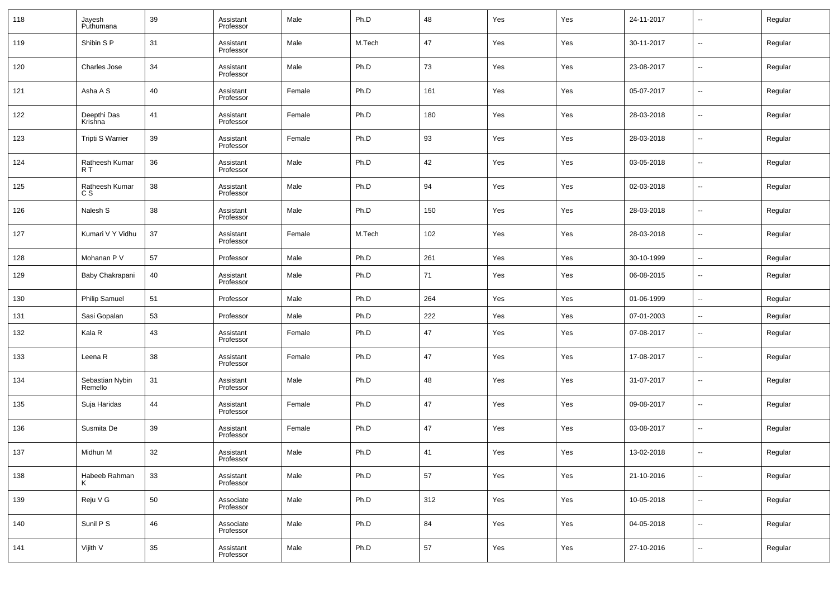| 118 | Jayesh<br>Puthumana        | 39 | Assistant<br>Professor | Male   | Ph.D   | 48  | Yes | Yes | 24-11-2017 | $\overline{\phantom{a}}$ | Regular |
|-----|----------------------------|----|------------------------|--------|--------|-----|-----|-----|------------|--------------------------|---------|
| 119 | Shibin S P                 | 31 | Assistant<br>Professor | Male   | M.Tech | 47  | Yes | Yes | 30-11-2017 | $\overline{\phantom{a}}$ | Regular |
| 120 | Charles Jose               | 34 | Assistant<br>Professor | Male   | Ph.D   | 73  | Yes | Yes | 23-08-2017 | $\sim$                   | Regular |
| 121 | Asha A S                   | 40 | Assistant<br>Professor | Female | Ph.D   | 161 | Yes | Yes | 05-07-2017 | $\overline{\phantom{a}}$ | Regular |
| 122 | Deepthi Das<br>Krishna     | 41 | Assistant<br>Professor | Female | Ph.D   | 180 | Yes | Yes | 28-03-2018 | $\sim$                   | Regular |
| 123 | <b>Tripti S Warrier</b>    | 39 | Assistant<br>Professor | Female | Ph.D   | 93  | Yes | Yes | 28-03-2018 | $\overline{\phantom{a}}$ | Regular |
| 124 | Ratheesh Kumar<br>R T      | 36 | Assistant<br>Professor | Male   | Ph.D   | 42  | Yes | Yes | 03-05-2018 | $\overline{\phantom{a}}$ | Regular |
| 125 | Ratheesh Kumar<br>C S      | 38 | Assistant<br>Professor | Male   | Ph.D   | 94  | Yes | Yes | 02-03-2018 | ⊶.                       | Regular |
| 126 | Nalesh S                   | 38 | Assistant<br>Professor | Male   | Ph.D   | 150 | Yes | Yes | 28-03-2018 | $\overline{\phantom{a}}$ | Regular |
| 127 | Kumari V Y Vidhu           | 37 | Assistant<br>Professor | Female | M.Tech | 102 | Yes | Yes | 28-03-2018 | $\sim$                   | Regular |
| 128 | Mohanan P V                | 57 | Professor              | Male   | Ph.D   | 261 | Yes | Yes | 30-10-1999 | $\sim$                   | Regular |
| 129 | Baby Chakrapani            | 40 | Assistant<br>Professor | Male   | Ph.D   | 71  | Yes | Yes | 06-08-2015 | $\overline{\phantom{a}}$ | Regular |
| 130 | <b>Philip Samuel</b>       | 51 | Professor              | Male   | Ph.D   | 264 | Yes | Yes | 01-06-1999 | $\overline{\phantom{a}}$ | Regular |
| 131 | Sasi Gopalan               | 53 | Professor              | Male   | Ph.D   | 222 | Yes | Yes | 07-01-2003 | $\ddotsc$                | Regular |
| 132 | Kala R                     | 43 | Assistant<br>Professor | Female | Ph.D   | 47  | Yes | Yes | 07-08-2017 | $\overline{\phantom{a}}$ | Regular |
| 133 | Leena R                    | 38 | Assistant<br>Professor | Female | Ph.D   | 47  | Yes | Yes | 17-08-2017 | $\overline{\phantom{a}}$ | Regular |
| 134 | Sebastian Nybin<br>Remello | 31 | Assistant<br>Professor | Male   | Ph.D   | 48  | Yes | Yes | 31-07-2017 | $\overline{\phantom{a}}$ | Regular |
| 135 | Suja Haridas               | 44 | Assistant<br>Professor | Female | Ph.D   | 47  | Yes | Yes | 09-08-2017 | $\overline{\phantom{a}}$ | Regular |
| 136 | Susmita De                 | 39 | Assistant<br>Professor | Female | Ph.D   | 47  | Yes | Yes | 03-08-2017 | $\overline{\phantom{a}}$ | Regular |
| 137 | Midhun M                   | 32 | Assistant<br>Professor | Male   | Ph.D   | 41  | Yes | Yes | 13-02-2018 | $\overline{\phantom{a}}$ | Regular |
| 138 | Habeeb Rahman<br>K         | 33 | Assistant<br>Professor | Male   | Ph.D   | 57  | Yes | Yes | 21-10-2016 | $\sim$                   | Regular |
| 139 | Reju V G                   | 50 | Associate<br>Professor | Male   | Ph.D   | 312 | Yes | Yes | 10-05-2018 | $\sim$                   | Regular |
| 140 | Sunil P S                  | 46 | Associate<br>Professor | Male   | Ph.D   | 84  | Yes | Yes | 04-05-2018 | $\sim$                   | Regular |
| 141 | Vijith V                   | 35 | Assistant<br>Professor | Male   | Ph.D   | 57  | Yes | Yes | 27-10-2016 | $\sim$                   | Regular |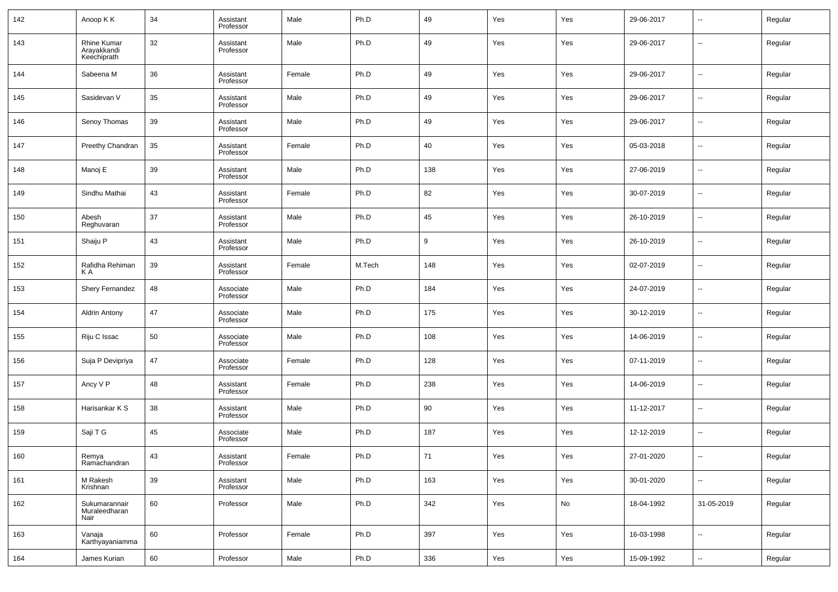| 142 | Anoop K K                                 | 34 | Assistant<br>Professor | Male   | Ph.D   | 49  | Yes | Yes | 29-06-2017 | $\overline{\phantom{a}}$ | Regular |
|-----|-------------------------------------------|----|------------------------|--------|--------|-----|-----|-----|------------|--------------------------|---------|
| 143 | Rhine Kumar<br>Arayakkandi<br>Keechiprath | 32 | Assistant<br>Professor | Male   | Ph.D   | 49  | Yes | Yes | 29-06-2017 | $\overline{\phantom{a}}$ | Regular |
| 144 | Sabeena M                                 | 36 | Assistant<br>Professor | Female | Ph.D   | 49  | Yes | Yes | 29-06-2017 | $\overline{\phantom{a}}$ | Regular |
| 145 | Sasidevan V                               | 35 | Assistant<br>Professor | Male   | Ph.D   | 49  | Yes | Yes | 29-06-2017 | $\overline{\phantom{a}}$ | Regular |
| 146 | Senoy Thomas                              | 39 | Assistant<br>Professor | Male   | Ph.D   | 49  | Yes | Yes | 29-06-2017 | --                       | Regular |
| 147 | Preethy Chandran                          | 35 | Assistant<br>Professor | Female | Ph.D   | 40  | Yes | Yes | 05-03-2018 | --                       | Regular |
| 148 | Manoj E                                   | 39 | Assistant<br>Professor | Male   | Ph.D   | 138 | Yes | Yes | 27-06-2019 | $\overline{\phantom{a}}$ | Regular |
| 149 | Sindhu Mathai                             | 43 | Assistant<br>Professor | Female | Ph.D   | 82  | Yes | Yes | 30-07-2019 | --                       | Regular |
| 150 | Abesh<br>Reghuvaran                       | 37 | Assistant<br>Professor | Male   | Ph.D   | 45  | Yes | Yes | 26-10-2019 | $\overline{\phantom{a}}$ | Regular |
| 151 | Shaiju P                                  | 43 | Assistant<br>Professor | Male   | Ph.D   | 9   | Yes | Yes | 26-10-2019 | $\overline{\phantom{a}}$ | Regular |
| 152 | Rafidha Rehiman<br>ΚA                     | 39 | Assistant<br>Professor | Female | M.Tech | 148 | Yes | Yes | 02-07-2019 | --                       | Regular |
| 153 | Shery Fernandez                           | 48 | Associate<br>Professor | Male   | Ph.D   | 184 | Yes | Yes | 24-07-2019 | $\overline{\phantom{a}}$ | Regular |
| 154 | <b>Aldrin Antony</b>                      | 47 | Associate<br>Professor | Male   | Ph.D   | 175 | Yes | Yes | 30-12-2019 | $\overline{\phantom{a}}$ | Regular |
| 155 | Riju C Issac                              | 50 | Associate<br>Professor | Male   | Ph.D   | 108 | Yes | Yes | 14-06-2019 | $\overline{\phantom{a}}$ | Regular |
| 156 | Suja P Devipriya                          | 47 | Associate<br>Professor | Female | Ph.D   | 128 | Yes | Yes | 07-11-2019 | $\overline{\phantom{a}}$ | Regular |
| 157 | Ancy V P                                  | 48 | Assistant<br>Professor | Female | Ph.D   | 238 | Yes | Yes | 14-06-2019 | $\overline{\phantom{a}}$ | Regular |
| 158 | Harisankar K S                            | 38 | Assistant<br>Professor | Male   | Ph.D   | 90  | Yes | Yes | 11-12-2017 | $\overline{\phantom{a}}$ | Regular |
| 159 | Saji T G                                  | 45 | Associate<br>Professor | Male   | Ph.D   | 187 | Yes | Yes | 12-12-2019 | $\overline{\phantom{a}}$ | Regular |
| 160 | Remya<br>Ramachandran                     | 43 | Assistant<br>Professor | Female | Ph.D   | 71  | Yes | Yes | 27-01-2020 | $\overline{\phantom{a}}$ | Regular |
| 161 | M Rakesh<br>Krishnan                      | 39 | Assistant<br>Professor | Male   | Ph.D   | 163 | Yes | Yes | 30-01-2020 | ш,                       | Regular |
| 162 | Sukumarannair<br>Muraleedharan<br>Nair    | 60 | Professor              | Male   | Ph.D   | 342 | Yes | No  | 18-04-1992 | 31-05-2019               | Regular |
| 163 | Vanaja<br>Karthyayaniamma                 | 60 | Professor              | Female | Ph.D   | 397 | Yes | Yes | 16-03-1998 | ш,                       | Regular |
| 164 | James Kurian                              | 60 | Professor              | Male   | Ph.D   | 336 | Yes | Yes | 15-09-1992 | $\overline{\phantom{a}}$ | Regular |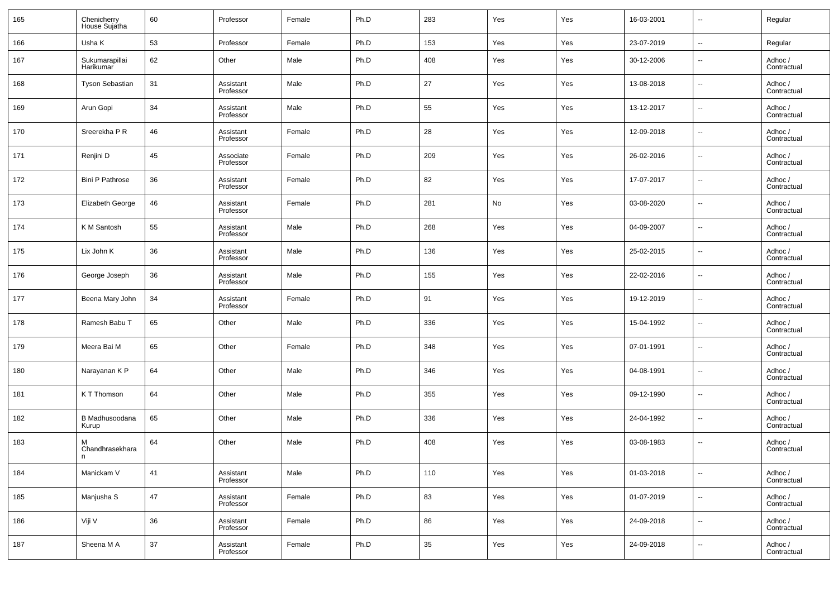| 165 | Chenicherry<br>House Sujatha       | 60 | Professor              | Female | Ph.D | 283 | Yes | Yes | 16-03-2001 | $\sim$                   | Regular                |
|-----|------------------------------------|----|------------------------|--------|------|-----|-----|-----|------------|--------------------------|------------------------|
| 166 | Usha K                             | 53 | Professor              | Female | Ph.D | 153 | Yes | Yes | 23-07-2019 | $\overline{\phantom{a}}$ | Regular                |
| 167 | Sukumarapillai<br><b>Harikumar</b> | 62 | Other                  | Male   | Ph.D | 408 | Yes | Yes | 30-12-2006 | --                       | Adhoc /<br>Contractual |
| 168 | Tyson Sebastian                    | 31 | Assistant<br>Professor | Male   | Ph.D | 27  | Yes | Yes | 13-08-2018 | ц.                       | Adhoc /<br>Contractual |
| 169 | Arun Gopi                          | 34 | Assistant<br>Professor | Male   | Ph.D | 55  | Yes | Yes | 13-12-2017 | --                       | Adhoc /<br>Contractual |
| 170 | Sreerekha P R                      | 46 | Assistant<br>Professor | Female | Ph.D | 28  | Yes | Yes | 12-09-2018 | --                       | Adhoc /<br>Contractual |
| 171 | Renjini D                          | 45 | Associate<br>Professor | Female | Ph.D | 209 | Yes | Yes | 26-02-2016 | --                       | Adhoc /<br>Contractual |
| 172 | <b>Bini P Pathrose</b>             | 36 | Assistant<br>Professor | Female | Ph.D | 82  | Yes | Yes | 17-07-2017 | --                       | Adhoc /<br>Contractual |
| 173 | Elizabeth George                   | 46 | Assistant<br>Professor | Female | Ph.D | 281 | No  | Yes | 03-08-2020 | --                       | Adhoc /<br>Contractual |
| 174 | K M Santosh                        | 55 | Assistant<br>Professor | Male   | Ph.D | 268 | Yes | Yes | 04-09-2007 | --                       | Adhoc /<br>Contractual |
| 175 | Lix John K                         | 36 | Assistant<br>Professor | Male   | Ph.D | 136 | Yes | Yes | 25-02-2015 | --                       | Adhoc /<br>Contractual |
| 176 | George Joseph                      | 36 | Assistant<br>Professor | Male   | Ph.D | 155 | Yes | Yes | 22-02-2016 | --                       | Adhoc/<br>Contractual  |
| 177 | Beena Mary John                    | 34 | Assistant<br>Professor | Female | Ph.D | 91  | Yes | Yes | 19-12-2019 | --                       | Adhoc /<br>Contractual |
| 178 | Ramesh Babu T                      | 65 | Other                  | Male   | Ph.D | 336 | Yes | Yes | 15-04-1992 | --                       | Adhoc/<br>Contractual  |
| 179 | Meera Bai M                        | 65 | Other                  | Female | Ph.D | 348 | Yes | Yes | 07-01-1991 | $\overline{\phantom{a}}$ | Adhoc /<br>Contractual |
| 180 | Narayanan K P                      | 64 | Other                  | Male   | Ph.D | 346 | Yes | Yes | 04-08-1991 | $\overline{\phantom{a}}$ | Adhoc /<br>Contractual |
| 181 | K T Thomson                        | 64 | Other                  | Male   | Ph.D | 355 | Yes | Yes | 09-12-1990 | $\overline{\phantom{a}}$ | Adhoc/<br>Contractual  |
| 182 | B Madhusoodana<br>Kurup            | 65 | Other                  | Male   | Ph.D | 336 | Yes | Yes | 24-04-1992 | --                       | Adhoc /<br>Contractual |
| 183 | м<br>Chandhrasekhara               | 64 | Other                  | Male   | Ph.D | 408 | Yes | Yes | 03-08-1983 | $\overline{\phantom{a}}$ | Adhoc /<br>Contractual |
| 184 | Manickam V                         | 41 | Assistant<br>Professor | Male   | Ph.D | 110 | Yes | Yes | 01-03-2018 | $\overline{\phantom{a}}$ | Adhoc /<br>Contractual |
| 185 | Manjusha S                         | 47 | Assistant<br>Professor | Female | Ph.D | 83  | Yes | Yes | 01-07-2019 | $\overline{\phantom{a}}$ | Adhoc /<br>Contractual |
| 186 | Viji V                             | 36 | Assistant<br>Professor | Female | Ph.D | 86  | Yes | Yes | 24-09-2018 | $\overline{\phantom{a}}$ | Adhoc /<br>Contractual |
| 187 | Sheena M A                         | 37 | Assistant<br>Professor | Female | Ph.D | 35  | Yes | Yes | 24-09-2018 | $\overline{\phantom{a}}$ | Adhoc /<br>Contractual |